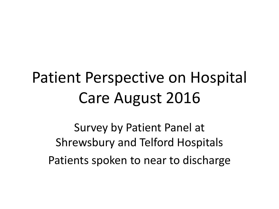# Patient Perspective on Hospital Care August 2016

Survey by Patient Panel at Shrewsbury and Telford Hospitals Patients spoken to near to discharge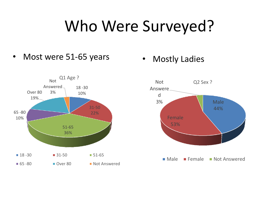# Who Were Surveyed?

• Most were 51-65 years • Mostly Ladies



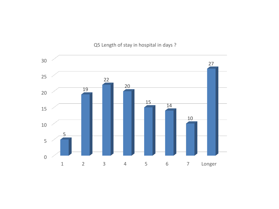#### Q5 Length of stay in hospital in days ?

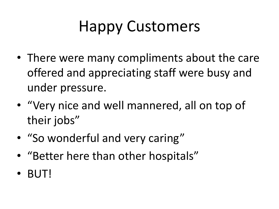# Happy Customers

- There were many compliments about the care offered and appreciating staff were busy and under pressure.
- "Very nice and well mannered, all on top of their jobs"
- "So wonderful and very caring"
- "Better here than other hospitals"
- BUT!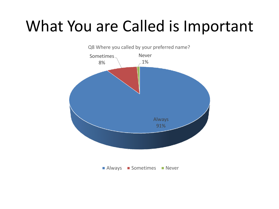## What You are Called is Important

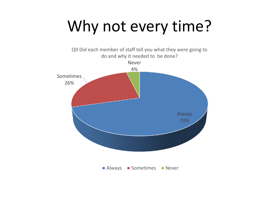# Why not every time?

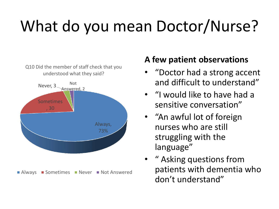# What do you mean Doctor/Nurse?

Q10 Did the member of staff check that you understood what they said?



#### **A few patient observations**

- "Doctor had a strong accent and difficult to understand"
- "I would like to have had a sensitive conversation"
- "An awful lot of foreign nurses who are still struggling with the language"
- " Asking questions from patients with dementia who don't understand"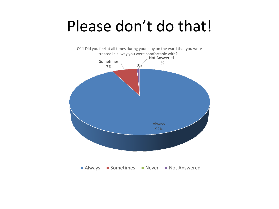### Please don't do that!

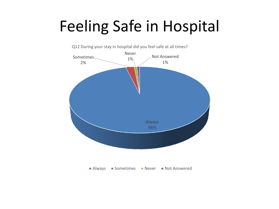# Feeling Safe in Hospital



Q12 During your stay in hospital did you feel safe at all times?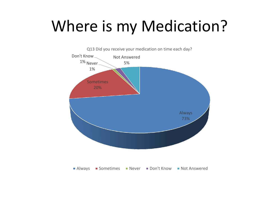# Where is my Medication?

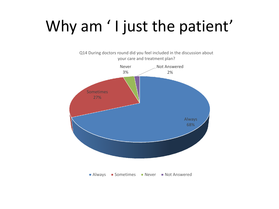# Why am ' I just the patient'

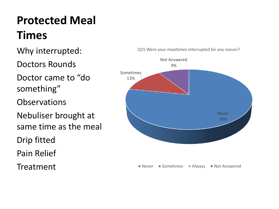#### **Protected Meal Times**

Why interrupted:

Doctors Rounds

Doctor came to "do something"

**Observations** 

Nebuliser brought at same time as the meal

Drip fitted

Pain Relief

Treatment



Q15 Were your mealtimes interrupted for any reason?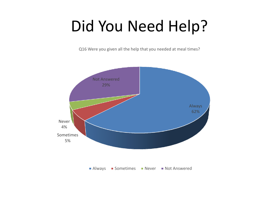# Did You Need Help?

Q16 Were you given all the help that you needed at meal times?

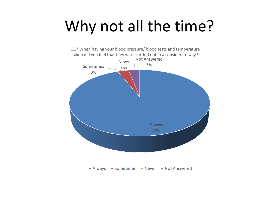# Why not all the time?

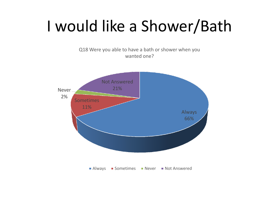# I would like a Shower/Bath

Q18 Were you able to have a bath or shower when you wanted one?

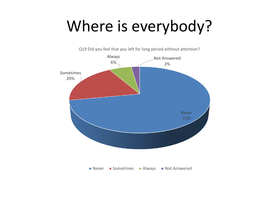# Where is everybody?

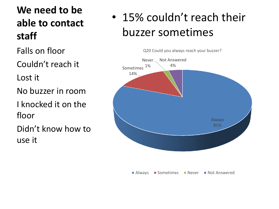#### **We need to be able to contact staff**

Falls on floor

Couldn't reach it

Lost it

No buzzer in room

I knocked it on the floor

Didn't know how to use it

#### • 15% couldn't reach their buzzer sometimes

Q20 Could you always reach your buzzer?



**Always Sometimes Never Not Answered**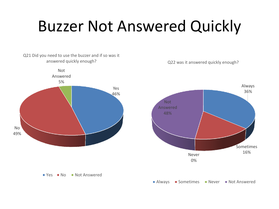# Buzzer Not Answered Quickly

Q21 Did you need to use the buzzer and if so was it answered quickly enough?



 $\blacksquare$  Yes  $\blacksquare$  No  $\blacksquare$  Not Answered

Q22 was it answered quickly enough?



**Always Sometimes Never Not Answered**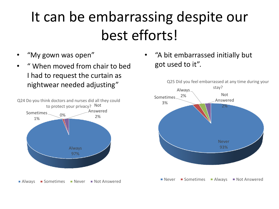## It can be embarrassing despite our best efforts!

- "My gown was open"
- " When moved from chair to bed I had to request the curtain as nightwear needed adjusting"



• "A bit embarrassed initially but got used to it".

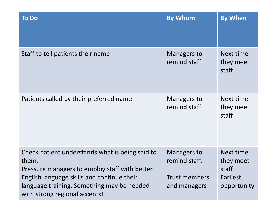| <b>To Do</b>                                                                                                                                                                                                                           | <b>By Whom</b>                                                       | <b>By When</b>                                             |
|----------------------------------------------------------------------------------------------------------------------------------------------------------------------------------------------------------------------------------------|----------------------------------------------------------------------|------------------------------------------------------------|
| Staff to tell patients their name                                                                                                                                                                                                      | <b>Managers to</b><br>remind staff                                   | Next time<br>they meet<br>staff                            |
| Patients called by their preferred name                                                                                                                                                                                                | Managers to<br>remind staff                                          | Next time<br>they meet<br>staff                            |
| Check patient understands what is being said to<br>them.<br>Pressure managers to employ staff with better<br>English language skills and continue their<br>language training. Something may be needed<br>with strong regional accents! | Managers to<br>remind staff.<br><b>Trust members</b><br>and managers | Next time<br>they meet<br>staff<br>Earliest<br>opportunity |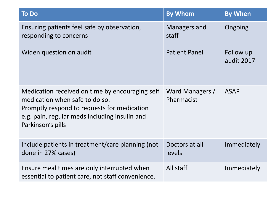| <b>To Do</b>                                                                                                                                                                                           | <b>By Whom</b>                | <b>By When</b>          |
|--------------------------------------------------------------------------------------------------------------------------------------------------------------------------------------------------------|-------------------------------|-------------------------|
| Ensuring patients feel safe by observation,<br>responding to concerns                                                                                                                                  | Managers and<br>staff         | Ongoing                 |
| Widen question on audit                                                                                                                                                                                | <b>Patient Panel</b>          | Follow up<br>audit 2017 |
| Medication received on time by encouraging self<br>medication when safe to do so.<br>Promptly respond to requests for medication<br>e.g. pain, regular meds including insulin and<br>Parkinson's pills | Ward Managers /<br>Pharmacist | <b>ASAP</b>             |
| Include patients in treatment/care planning (not<br>done in 27% cases)                                                                                                                                 | Doctors at all<br>levels      | Immediately             |
| Ensure meal times are only interrupted when<br>essential to patient care, not staff convenience.                                                                                                       | All staff                     | Immediately             |